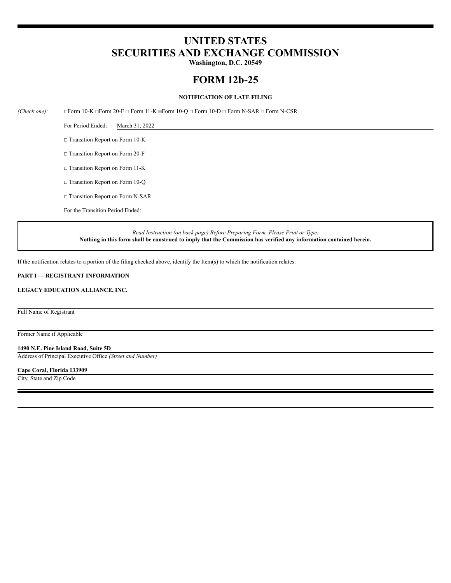# **UNITED STATES SECURITIES AND EXCHANGE COMMISSION**

**Washington, D.C. 20549**

# **FORM 12b-25**

## **NOTIFICATION OF LATE FILING**

*(Check one):* ☐Form 10-K ☐Form 20-F ☐ Form 11-K ☒Form 10-Q ☐ Form 10-D ☐ Form N-SAR ☐ Form N-CSR

For Period Ended: March 31, 2022

☐ Transition Report on Form 10-K

☐ Transition Report on Form 20-F

□ Transition Report on Form 11-K

☐ Transition Report on Form 10-Q

□ Transition Report on Form N-SAR

For the Transition Period Ended:

*Read Instruction (on back page) Before Preparing Form. Please Print or Type.* Nothing in this form shall be construed to imply that the Commission has verified any information contained herein.

If the notification relates to a portion of the filing checked above, identify the Item(s) to which the notification relates:

# **PART I — REGISTRANT INFORMATION**

# **LEGACY EDUCATION ALLIANCE, INC.**

Full Name of Registrant

Former Name if Applicable

**1490 N.E. Pine Island Road, Suite 5D**

Address of Principal Executive Office *(Street and Number)*

**Cape Coral, Florida 133909**

City, State and Zip Code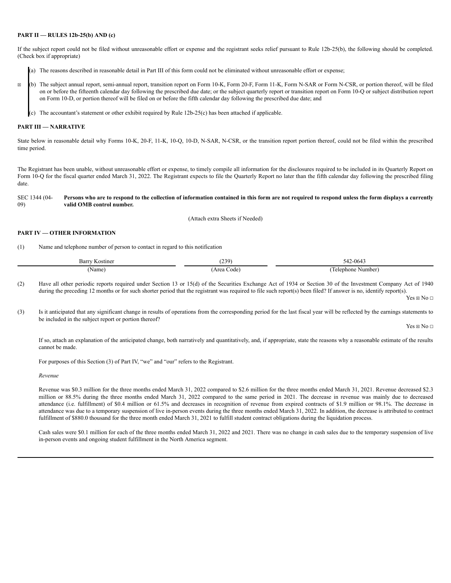### **PART II — RULES 12b-25(b) AND (c)**

If the subject report could not be filed without unreasonable effort or expense and the registrant seeks relief pursuant to Rule 12b-25(b), the following should be completed. (Check box if appropriate)

- (a) The reasons described in reasonable detail in Part III of this form could not be eliminated without unreasonable effort or expense;
- ☒ (b) The subject annual report, semi-annual report, transition report on Form 10-K, Form 20-F, Form 11-K, Form N-SAR or Form N-CSR, or portion thereof, will be filed on or before the fifteenth calendar day following the prescribed due date; or the subject quarterly report or transition report on Form 10-Q or subject distribution report on Form 10-D, or portion thereof will be filed on or before the fifth calendar day following the prescribed due date; and
	- $\epsilon$ ) The accountant's statement or other exhibit required by Rule 12b-25(c) has been attached if applicable.

#### **PART III — NARRATIVE**

State below in reasonable detail why Forms 10-K, 20-F, 11-K, 10-Q, 10-D, N-SAR, N-CSR, or the transition report portion thereof, could not be filed within the prescribed time period.

The Registrant has been unable, without unreasonable effort or expense, to timely compile all information for the disclosures required to be included in its Quarterly Report on Form 10-Q for the fiscal quarter ended March 31, 2022. The Registrant expects to file the Quarterly Report no later than the fifth calendar day following the prescribed filing date.

#### SEC 1344 (04- 09) Persons who are to respond to the collection of information contained in this form are not required to respond unless the form displays a currently **valid OMB control number.**

(Attach extra Sheets if Needed)

# **PART IV — OTHER INFORMATION**

(1) Name and telephone number of person to contact in regard to this notification

| Barr<br>Kostiner | າາດ<br>. پ         | $\overline{\phantom{a}}$<br>$2-064$<br>ے 4∼ |
|------------------|--------------------|---------------------------------------------|
| Name             | Area<br>Code<br>__ | Number<br>elephone                          |

(2) Have all other periodic reports required under Section 13 or 15(d) of the Securities Exchange Act of 1934 or Section 30 of the Investment Company Act of 1940 during the preceding 12 months or for such shorter period that the registrant was required to file such report(s) been filed? If answer is no, identify report(s).

Yes  $\boxtimes$  No  $\Box$ 

(3) Is it anticipated that any significant change in results of operations from the corresponding period for the last fiscal year will be reflected by the earnings statements to be included in the subject report or portion thereof?

Yes  $\boxtimes$  No  $\Box$ 

If so, attach an explanation of the anticipated change, both narratively and quantitatively, and, if appropriate, state the reasons why a reasonable estimate of the results cannot be made.

For purposes of this Section (3) of Part IV, "we" and "our" refers to the Registrant.

*Revenue*

Revenue was \$0.3 million for the three months ended March 31, 2022 compared to \$2.6 million for the three months ended March 31, 2021. Revenue decreased \$2.3 million or 88.5% during the three months ended March 31, 2022 compared to the same period in 2021. The decrease in revenue was mainly due to decreased attendance (i.e. fulfillment) of \$0.4 million or 61.5% and decreases in recognition of revenue from expired contracts of \$1.9 million or 98.1%. The decrease in attendance was due to a temporary suspension of live in-person events during the three months ended March 31, 2022. In addition, the decrease is attributed to contract fulfillment of \$880.0 thousand for the three month ended March 31, 2021 to fulfill student contract obligations during the liquidation process.

Cash sales were \$0.1 million for each of the three months ended March 31, 2022 and 2021. There was no change in cash sales due to the temporary suspension of live in-person events and ongoing student fulfillment in the North America segment.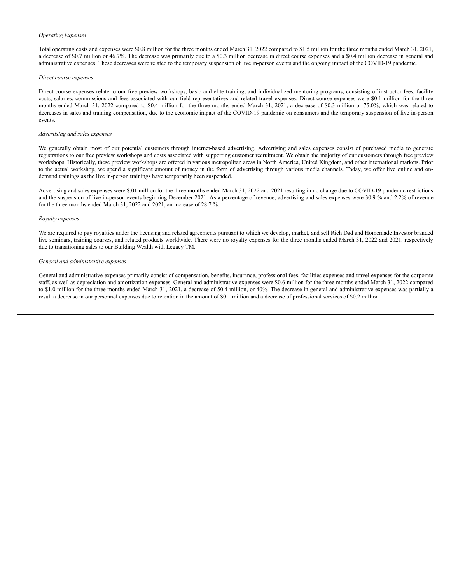#### *Operating Expenses*

Total operating costs and expenses were \$0.8 million for the three months ended March 31, 2022 compared to \$1.5 million for the three months ended March 31, 2021, a decrease of \$0.7 million or 46.7%. The decrease was primarily due to a \$0.3 million decrease in direct course expenses and a \$0.4 million decrease in general and administrative expenses. These decreases were related to the temporary suspension of live in-person events and the ongoing impact of the COVID-19 pandemic.

#### *Direct course expenses*

Direct course expenses relate to our free preview workshops, basic and elite training, and individualized mentoring programs, consisting of instructor fees, facility costs, salaries, commissions and fees associated with our field representatives and related travel expenses. Direct course expenses were \$0.1 million for the three months ended March 31, 2022 compared to \$0.4 million for the three months ended March 31, 2021, a decrease of \$0.3 million or 75.0%, which was related to decreases in sales and training compensation, due to the economic impact of the COVID-19 pandemic on consumers and the temporary suspension of live in-person events.

#### *Advertising and sales expenses*

We generally obtain most of our potential customers through internet-based advertising. Advertising and sales expenses consist of purchased media to generate registrations to our free preview workshops and costs associated with supporting customer recruitment. We obtain the majority of our customers through free preview workshops. Historically, these preview workshops are offered in various metropolitan areas in North America, United Kingdom, and other international markets. Prior to the actual workshop, we spend a significant amount of money in the form of advertising through various media channels. Today, we offer live online and ondemand trainings as the live in-person trainings have temporarily been suspended.

Advertising and sales expenses were \$.01 million for the three months ended March 31, 2022 and 2021 resulting in no change due to COVID-19 pandemic restrictions and the suspension of live in-person events beginning December 2021. As a percentage of revenue, advertising and sales expenses were 30.9 % and 2.2% of revenue for the three months ended March 31, 2022 and 2021, an increase of 28.7 %.

#### *Royalty expenses*

We are required to pay royalties under the licensing and related agreements pursuant to which we develop, market, and sell Rich Dad and Homemade Investor branded live seminars, training courses, and related products worldwide. There were no royalty expenses for the three months ended March 31, 2022 and 2021, respectively due to transitioning sales to our Building Wealth with Legacy TM.

#### *General and administrative expenses*

General and administrative expenses primarily consist of compensation, benefits, insurance, professional fees, facilities expenses and travel expenses for the corporate staff, as well as depreciation and amortization expenses. General and administrative expenses were \$0.6 million for the three months ended March 31, 2022 compared to \$1.0 million for the three months ended March 31, 2021, a decrease of \$0.4 million, or 40%. The decrease in general and administrative expenses was partially a result a decrease in our personnel expenses due to retention in the amount of \$0.1 million and a decrease of professional services of \$0.2 million.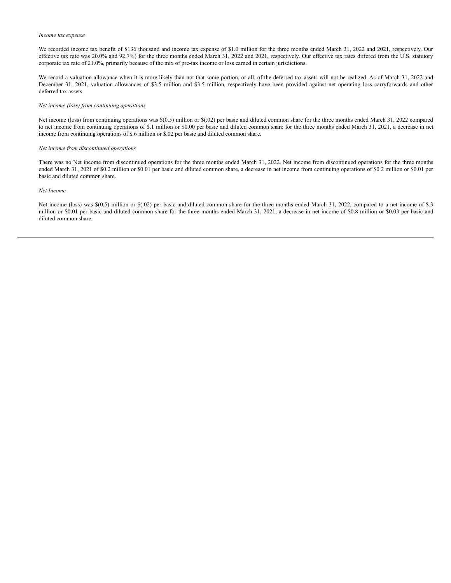#### *Income tax expense*

We recorded income tax benefit of \$136 thousand and income tax expense of \$1.0 million for the three months ended March 31, 2022 and 2021, respectively. Our effective tax rate was 20.0% and 92.7%) for the three months ended March 31, 2022 and 2021, respectively. Our effective tax rates differed from the U.S. statutory corporate tax rate of 21.0%, primarily because of the mix of pre-tax income or loss earned in certain jurisdictions.

We record a valuation allowance when it is more likely than not that some portion, or all, of the deferred tax assets will not be realized. As of March 31, 2022 and December 31, 2021, valuation allowances of \$3.5 million and \$3.5 million, respectively have been provided against net operating loss carryforwards and other deferred tax assets.

#### *Net income (loss) from continuing operations*

Net income (loss) from continuing operations was \$(0.5) million or \$(.02) per basic and diluted common share for the three months ended March 31, 2022 compared to net income from continuing operations of \$.1 million or \$0.00 per basic and diluted common share for the three months ended March 31, 2021, a decrease in net income from continuing operations of \$.6 million or \$.02 per basic and diluted common share.

#### *Net income from discontinued operations*

There was no Net income from discontinued operations for the three months ended March 31, 2022. Net income from discontinued operations for the three months ended March 31, 2021 of \$0.2 million or \$0.01 per basic and diluted common share, a decrease in net income from continuing operations of \$0.2 million or \$0.01 per basic and diluted common share.

# *Net Income*

Net income (loss) was \$(0.5) million or \$(.02) per basic and diluted common share for the three months ended March 31, 2022, compared to a net income of \$.3 million or \$0.01 per basic and diluted common share for the three months ended March 31, 2021, a decrease in net income of \$0.8 million or \$0.03 per basic and diluted common share.